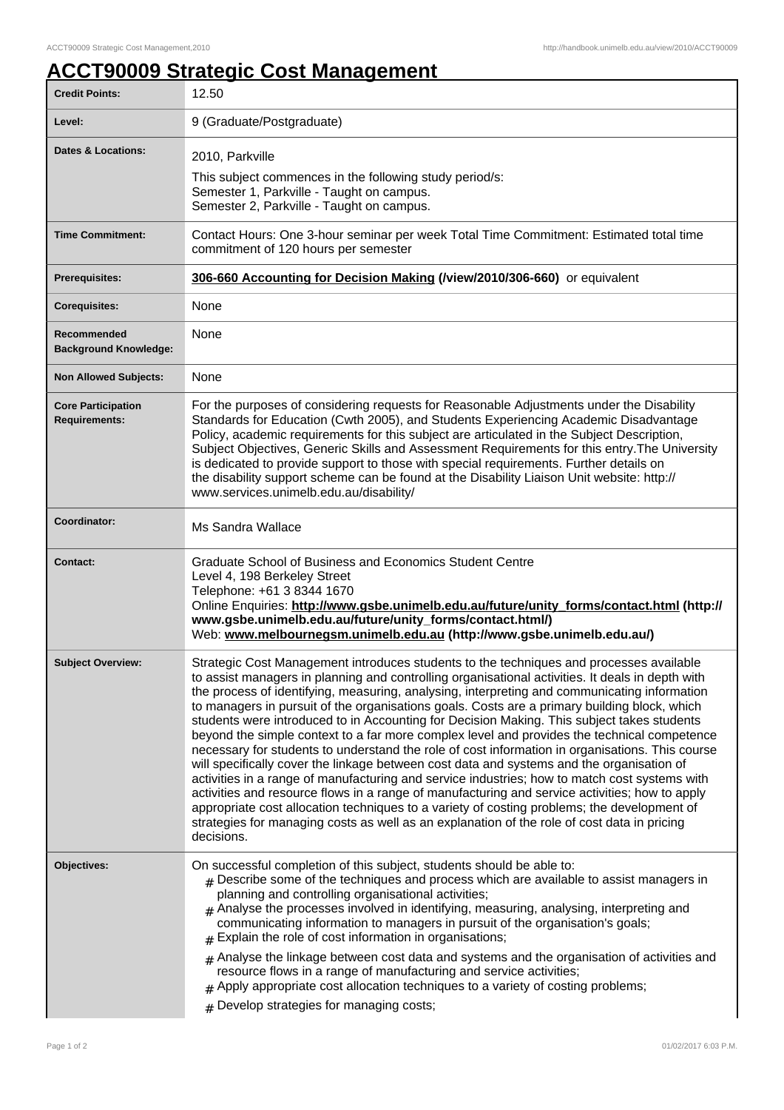## **ACCT90009 Strategic Cost Management**

| <b>Credit Points:</b>                             | 12.50                                                                                                                                                                                                                                                                                                                                                                                                                                                                                                                                                                                                                                                                                                                                                                                                                                                                                                                                                                                                                                                                                                                                                                                                   |
|---------------------------------------------------|---------------------------------------------------------------------------------------------------------------------------------------------------------------------------------------------------------------------------------------------------------------------------------------------------------------------------------------------------------------------------------------------------------------------------------------------------------------------------------------------------------------------------------------------------------------------------------------------------------------------------------------------------------------------------------------------------------------------------------------------------------------------------------------------------------------------------------------------------------------------------------------------------------------------------------------------------------------------------------------------------------------------------------------------------------------------------------------------------------------------------------------------------------------------------------------------------------|
| Level:                                            | 9 (Graduate/Postgraduate)                                                                                                                                                                                                                                                                                                                                                                                                                                                                                                                                                                                                                                                                                                                                                                                                                                                                                                                                                                                                                                                                                                                                                                               |
| Dates & Locations:                                | 2010, Parkville<br>This subject commences in the following study period/s:<br>Semester 1, Parkville - Taught on campus.<br>Semester 2, Parkville - Taught on campus.                                                                                                                                                                                                                                                                                                                                                                                                                                                                                                                                                                                                                                                                                                                                                                                                                                                                                                                                                                                                                                    |
| <b>Time Commitment:</b>                           | Contact Hours: One 3-hour seminar per week Total Time Commitment: Estimated total time<br>commitment of 120 hours per semester                                                                                                                                                                                                                                                                                                                                                                                                                                                                                                                                                                                                                                                                                                                                                                                                                                                                                                                                                                                                                                                                          |
| <b>Prerequisites:</b>                             | 306-660 Accounting for Decision Making (/view/2010/306-660) or equivalent                                                                                                                                                                                                                                                                                                                                                                                                                                                                                                                                                                                                                                                                                                                                                                                                                                                                                                                                                                                                                                                                                                                               |
| <b>Corequisites:</b>                              | None                                                                                                                                                                                                                                                                                                                                                                                                                                                                                                                                                                                                                                                                                                                                                                                                                                                                                                                                                                                                                                                                                                                                                                                                    |
| Recommended<br><b>Background Knowledge:</b>       | None                                                                                                                                                                                                                                                                                                                                                                                                                                                                                                                                                                                                                                                                                                                                                                                                                                                                                                                                                                                                                                                                                                                                                                                                    |
| <b>Non Allowed Subjects:</b>                      | None                                                                                                                                                                                                                                                                                                                                                                                                                                                                                                                                                                                                                                                                                                                                                                                                                                                                                                                                                                                                                                                                                                                                                                                                    |
| <b>Core Participation</b><br><b>Requirements:</b> | For the purposes of considering requests for Reasonable Adjustments under the Disability<br>Standards for Education (Cwth 2005), and Students Experiencing Academic Disadvantage<br>Policy, academic requirements for this subject are articulated in the Subject Description,<br>Subject Objectives, Generic Skills and Assessment Requirements for this entry. The University<br>is dedicated to provide support to those with special requirements. Further details on<br>the disability support scheme can be found at the Disability Liaison Unit website: http://<br>www.services.unimelb.edu.au/disability/                                                                                                                                                                                                                                                                                                                                                                                                                                                                                                                                                                                      |
| Coordinator:                                      | Ms Sandra Wallace                                                                                                                                                                                                                                                                                                                                                                                                                                                                                                                                                                                                                                                                                                                                                                                                                                                                                                                                                                                                                                                                                                                                                                                       |
|                                                   |                                                                                                                                                                                                                                                                                                                                                                                                                                                                                                                                                                                                                                                                                                                                                                                                                                                                                                                                                                                                                                                                                                                                                                                                         |
| <b>Contact:</b>                                   | Graduate School of Business and Economics Student Centre<br>Level 4, 198 Berkeley Street<br>Telephone: +61 3 8344 1670<br>Online Enquiries: http://www.gsbe.unimelb.edu.au/future/unity_forms/contact.html (http://<br>www.gsbe.unimelb.edu.au/future/unity_forms/contact.html/)<br>Web: www.melbournegsm.unimelb.edu.au (http://www.gsbe.unimelb.edu.au/)                                                                                                                                                                                                                                                                                                                                                                                                                                                                                                                                                                                                                                                                                                                                                                                                                                              |
| <b>Subject Overview:</b>                          | Strategic Cost Management introduces students to the techniques and processes available<br>to assist managers in planning and controlling organisational activities. It deals in depth with<br>the process of identifying, measuring, analysing, interpreting and communicating information<br>to managers in pursuit of the organisations goals. Costs are a primary building block, which<br>students were introduced to in Accounting for Decision Making. This subject takes students<br>beyond the simple context to a far more complex level and provides the technical competence<br>necessary for students to understand the role of cost information in organisations. This course<br>will specifically cover the linkage between cost data and systems and the organisation of<br>activities in a range of manufacturing and service industries; how to match cost systems with<br>activities and resource flows in a range of manufacturing and service activities; how to apply<br>appropriate cost allocation techniques to a variety of costing problems; the development of<br>strategies for managing costs as well as an explanation of the role of cost data in pricing<br>decisions. |